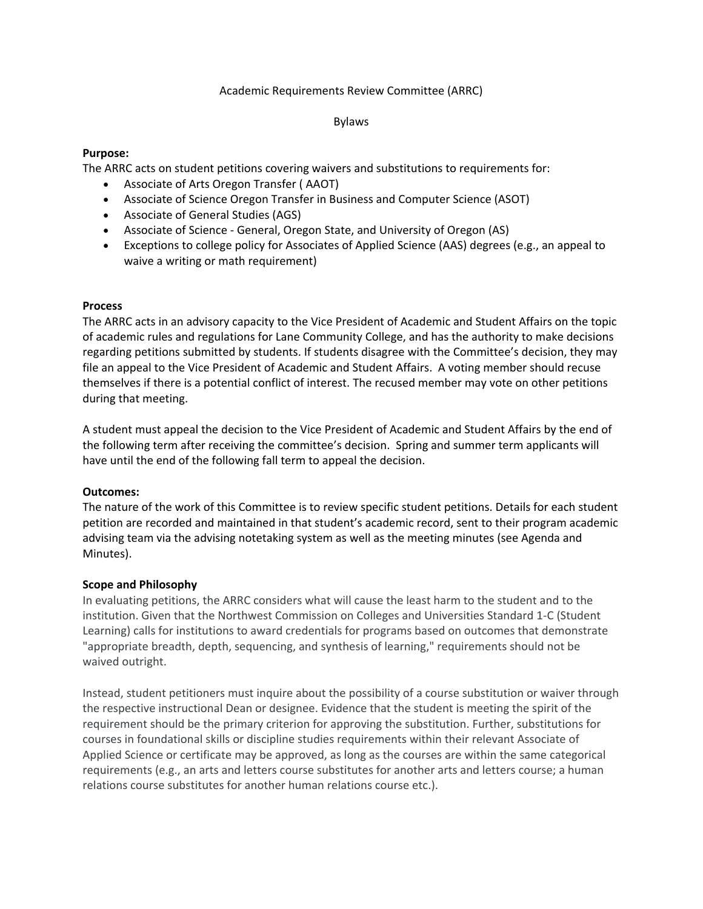### Academic Requirements Review Committee (ARRC)

### Bylaws

## **Purpose:**

The ARRC acts on student petitions covering waivers and substitutions to requirements for:

- Associate of Arts Oregon Transfer ( AAOT)
- Associate of Science Oregon Transfer in Business and Computer Science (ASOT)
- Associate of General Studies (AGS)
- Associate of Science General, Oregon State, and University of Oregon (AS)
- Exceptions to college policy for Associates of Applied Science (AAS) degrees (e.g., an appeal to waive a writing or math requirement)

## **Process**

The ARRC acts in an advisory capacity to the Vice President of Academic and Student Affairs on the topic of academic rules and regulations for Lane Community College, and has the authority to make decisions regarding petitions submitted by students. If students disagree with the Committee's decision, they may file an appeal to the Vice President of Academic and Student Affairs. A voting member should recuse themselves if there is a potential conflict of interest. The recused member may vote on other petitions during that meeting.

A student must appeal the decision to the Vice President of Academic and Student Affairs by the end of the following term after receiving the committee's decision. Spring and summer term applicants will have until the end of the following fall term to appeal the decision.

# **Outcomes:**

The nature of the work of this Committee is to review specific student petitions. Details for each student petition are recorded and maintained in that student's academic record, sent to their program academic advising team via the advising notetaking system as well as the meeting minutes (see Agenda and Minutes).

# **Scope and Philosophy**

In evaluating petitions, the ARRC considers what will cause the least harm to the student and to the institution. Given that the Northwest Commission on Colleges and Universities Standard 1-C (Student Learning) calls for institutions to award credentials for programs based on outcomes that demonstrate "appropriate breadth, depth, sequencing, and synthesis of learning," requirements should not be waived outright.

Instead, student petitioners must inquire about the possibility of a course substitution or waiver through the respective instructional Dean or designee. Evidence that the student is meeting the spirit of the requirement should be the primary criterion for approving the substitution. Further, substitutions for courses in foundational skills or discipline studies requirements within their relevant Associate of Applied Science or certificate may be approved, as long as the courses are within the same categorical requirements (e.g., an arts and letters course substitutes for another arts and letters course; a human relations course substitutes for another human relations course etc.).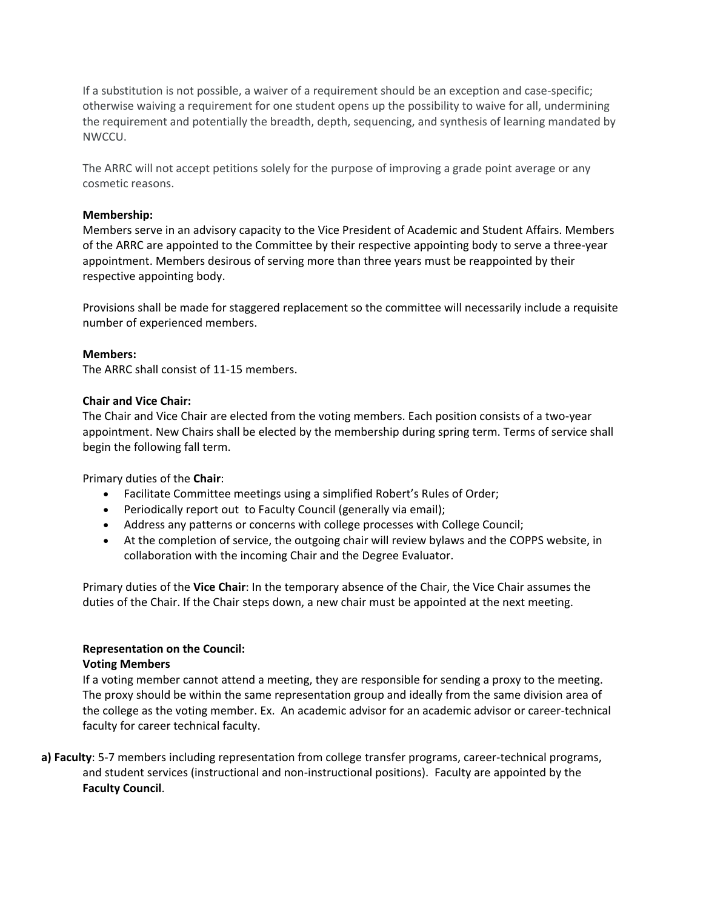If a substitution is not possible, a waiver of a requirement should be an exception and case-specific; otherwise waiving a requirement for one student opens up the possibility to waive for all, undermining the requirement and potentially the breadth, depth, sequencing, and synthesis of learning mandated by NWCCU.

The ARRC will not accept petitions solely for the purpose of improving a grade point average or any cosmetic reasons.

# **Membership:**

Members serve in an advisory capacity to the Vice President of Academic and Student Affairs. Members of the ARRC are appointed to the Committee by their respective appointing body to serve a three-year appointment. Members desirous of serving more than three years must be reappointed by their respective appointing body.

Provisions shall be made for staggered replacement so the committee will necessarily include a requisite number of experienced members.

## **Members:**

The ARRC shall consist of 11-15 members.

## **Chair and Vice Chair:**

The Chair and Vice Chair are elected from the voting members. Each position consists of a two-year appointment. New Chairs shall be elected by the membership during spring term. Terms of service shall begin the following fall term.

Primary duties of the **Chair**:

- Facilitate Committee meetings using a simplified Robert's Rules of Order;
- Periodically report out to Faculty Council (generally via email);
- Address any patterns or concerns with college processes with College Council;
- At the completion of service, the outgoing chair will review bylaws and the COPPS website, in collaboration with the incoming Chair and the Degree Evaluator.

Primary duties of the **Vice Chair**: In the temporary absence of the Chair, the Vice Chair assumes the duties of the Chair. If the Chair steps down, a new chair must be appointed at the next meeting.

# **Representation on the Council:**

### **Voting Members**

If a voting member cannot attend a meeting, they are responsible for sending a proxy to the meeting. The proxy should be within the same representation group and ideally from the same division area of the college as the voting member. Ex. An academic advisor for an academic advisor or career-technical faculty for career technical faculty.

**a) Faculty**: 5-7 members including representation from college transfer programs, career-technical programs, and student services (instructional and non-instructional positions). Faculty are appointed by the **Faculty Council**.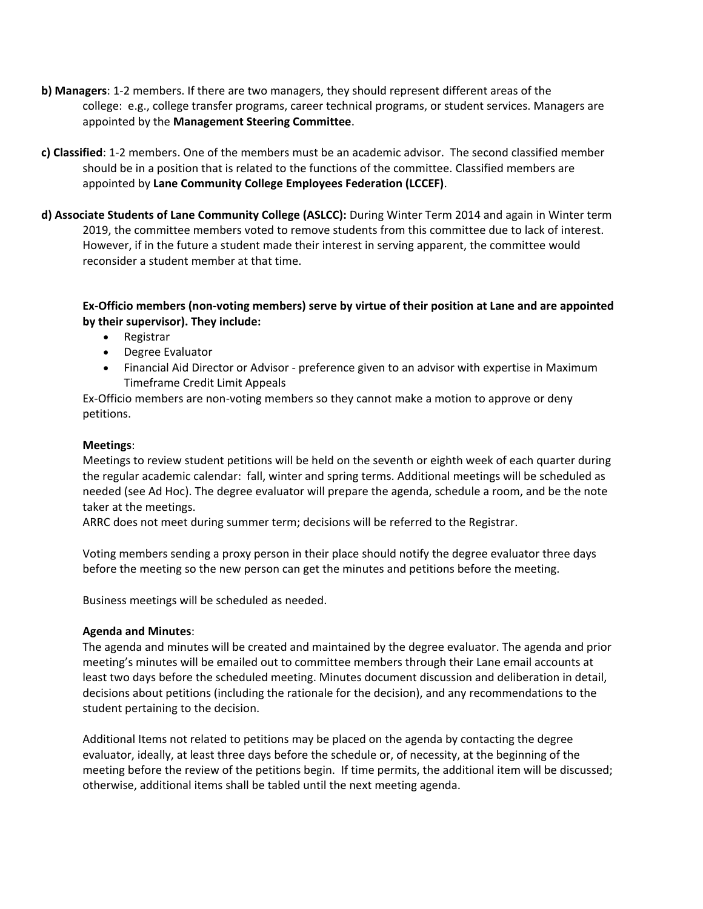- **b) Managers**: 1-2 members. If there are two managers, they should represent different areas of the college: e.g., college transfer programs, career technical programs, or student services. Managers are appointed by the **Management Steering Committee**.
- **c) Classified**: 1-2 members. One of the members must be an academic advisor. The second classified member should be in a position that is related to the functions of the committee. Classified members are appointed by **Lane Community College Employees Federation (LCCEF)**.
- **d) Associate Students of Lane Community College (ASLCC):** During Winter Term 2014 and again in Winter term 2019, the committee members voted to remove students from this committee due to lack of interest. However, if in the future a student made their interest in serving apparent, the committee would reconsider a student member at that time.

# **Ex-Officio members (non-voting members) serve by virtue of their position at Lane and are appointed by their supervisor). They include:**

- Registrar
- Degree Evaluator
- Financial Aid Director or Advisor preference given to an advisor with expertise in Maximum Timeframe Credit Limit Appeals

Ex-Officio members are non-voting members so they cannot make a motion to approve or deny petitions.

# **Meetings**:

Meetings to review student petitions will be held on the seventh or eighth week of each quarter during the regular academic calendar: fall, winter and spring terms. Additional meetings will be scheduled as needed (see Ad Hoc). The degree evaluator will prepare the agenda, schedule a room, and be the note taker at the meetings.

ARRC does not meet during summer term; decisions will be referred to the Registrar.

Voting members sending a proxy person in their place should notify the degree evaluator three days before the meeting so the new person can get the minutes and petitions before the meeting.

Business meetings will be scheduled as needed.

# **Agenda and Minutes**:

The agenda and minutes will be created and maintained by the degree evaluator. The agenda and prior meeting's minutes will be emailed out to committee members through their Lane email accounts at least two days before the scheduled meeting. Minutes document discussion and deliberation in detail, decisions about petitions (including the rationale for the decision), and any recommendations to the student pertaining to the decision.

Additional Items not related to petitions may be placed on the agenda by contacting the degree evaluator, ideally, at least three days before the schedule or, of necessity, at the beginning of the meeting before the review of the petitions begin. If time permits, the additional item will be discussed; otherwise, additional items shall be tabled until the next meeting agenda.